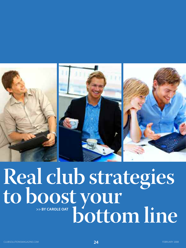

# **>> BY CAROLE OAT Real club strategies to boost your bottom line**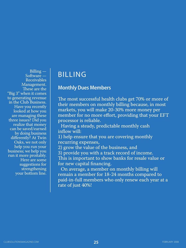Billing — Software — Receivables Management. These are the "Big 3" when it comes to generating revenue in the Club Business. Have you recently looked at how you are managing these three issues? Did you realize that money can be saved/earned by doing business differently? At Twin Oaks, we not only help you run your business; we help you run it more proitably. Here are some suggestions for strengthening your bottom line.

## BILLING

## **Monthly Dues Members**

The most successful health clubs get 70% or more of their members on monthly billing because, in most markets, you will make 20-30% more money per member for no more effort, providing that your EFT processor is reliable.

Having a steady, predictable monthly cash inflow will:

1) help ensure that you are covering monthly recurring expenses,

2) grow the value of the business, and

3) provide you with a track record of income.

This is important to show banks for resale value or for new capital financing.

On average, a member on monthly billing will remain a member for 18-24 months compared to paid-in-full members who only renew each year at a rate of just 40%!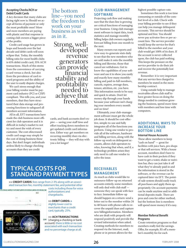#### **Accepting Checks/ACH or Debit/Credit Cards**

A key decision that many clubs are facing right now is: Should we accept all forms of payment or only the most profitable ones? More and more members are paying with plastic and that response is costing club owners a bigger piece of the profits.

Credit card usage has grown in leaps and bounds over the last decade and debit cards will soon eclipse that. Today, the monthly billing ratio for most health clubs is 65% debit/credit card, 35% ACH transactions. Much of this stems from the convenience of carrying a card versus a check, but also from the prevalence of card reward programs and the ability of the user to easily dispute charges.

We can't stress enough that your billing vendor must be payment card industry (PCI or CISP) compliant. This tells you, and your members, that they have structured their data storage and processing functions to safeguard all members account information.

All in all, EFT transactions have made the club business more efficient for club operators and it is difficult in today's market to not try and meet the wish of every customer. The cost ofincreased credit card usage may simply be the cost of doing business these days. But don't forget: individuals areless likely to change checking accounts than they are credit

## The bottom line—you need the freedom to work on your business as well as in it.

Strong, well- developed revenue generators can provide financial stability and profitability needed to achieve that freedom.

cards, and bank accounts don't expire — saving your staff time and effort tracking down members to get updated credit card information. Either way: get members on recurring monthly dues via electronic billing — they will stay with you a lot longer!

#### **Club-MAnAgeMent SoftwAre**

Projecting cash flow and making sure that the dues line is growing are critical functions of managing your business. Using club management software to input data, track statistics and manage monthly billing helps club owners regularly forecast billing from one month to the next.

Many owners run reports and view easy-to-generate stats daily to see that the new members who are sold make it onto the monthly billing and likewise, those that cancel are withdrawn. Get to know the capabilities of your software and use it to show you easily and exactly how many monthlybilling and paid-in-full members, cancels, expires, average dues, tenure, attrition, etc. you have. This information needs to be easy and quick to attain. Don't let money slip through your hands because your software isn't charging your members every month and on time!

Ultimately, your club-management software must get the whole job done. It should be cost-effective, simple-to-use and fully integrates all of the functions you perform. Using one vendor to provide all of the software, hardware and billing services, along with the follow-up work on delinquent accounts, allows club operators to relax, knowing that when, and if, a technology problem arises they only need to call one vendor to solve the issue.

#### highest possible capture rate.

Sometimes this work is too time consuming or outside of the comfort level of a club. Check with your billing provider to see if they can help you manage delinquent accounts. This service should be optional and free. You should never pay activator fees or per-account fees. The service provider would keep the service fee that's billed to the member and your club would get 100% of its dues. If the account is never collected upon, the club has paid nothing. This keeps the pressure on the service provider to do their job and recover the potentially lost revenue.

Remember: it is very important that any service fees charged to members be stated in the membership contract.

Using outside help to manage receivables allows club staff to have greater focus on doing the things needed to continue growing the business, spend more time with members and less time with computers.

#### **ADDitionAl wAyS to inCreASe your bottoM line**

#### **internal House Accounts**

These allow members to keep "cash on hand" — great for facilities with juice bars, pro shops or that sell services. With a house account, members don't have to have cash in their pockets if they want to get a water, shake or nutrition bar, they can just take it off what they've already paid in and the information is stored in the software, or the revenue can be captured later via EFT. The pointof-sale system should easily track all purchases and apply them appropriately. On-account payments can be made anytime and/or additional deposits made. There are pros and cons for either method, but the bottom line is members will spend more money if it's easy.

#### **Member referral benefit Programs**

Create retention programs so that members really feel the savings. Offer, for example, \$5 off a member's monthly fee for each

## **TYPICAL COSTS FOR STANDARD PAYMENT TYPES**

**>> CREDIT CARDS**: feesrange from 2-3% along with an associated transaction fee, monthly statement fee, and potential other costs including those for voice

AGC. 三国 **STORY STORY** 



authorizations and chargebacks.

**>>DEBIT CARDS:** a slightly lower cost to merchants than a credit card, typically .25%.

**>> ACHTRANSACTIONS** cin (charging a checking or bank account): there is little or no cost associated with each transaction and no percentage charge at all.

### **reCeivAbleS MAnAgeMent**

As much as clubs would like to outsource follow-up on returned accounts entirely, some members will only deal with club staff someone they can speak with face to face. Immediate follow-up should happen on a return: send a letter out to the member within 24 to 48 hours with phone calls to recover the unpaid dues and capture new billinginformation. Members who are dealt with properly will respond positively and provide the revised information when asked. Creating methods for members to respond via the Internet, mail, phone or in person allows for the